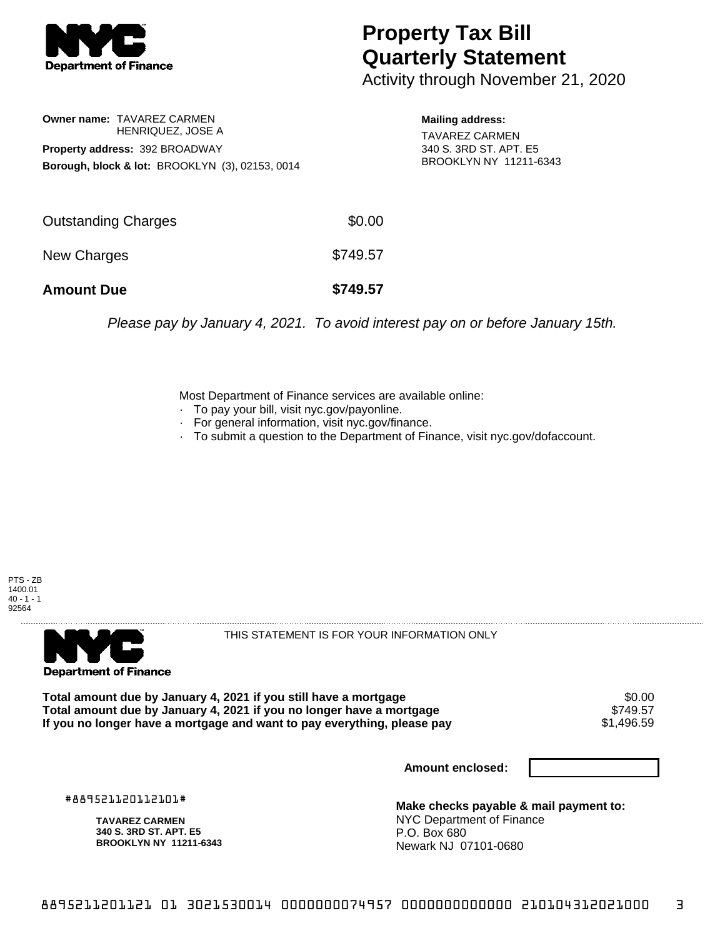

## **Property Tax Bill Quarterly Statement**

Activity through November 21, 2020

**Owner name:** TAVAREZ CARMEN HENRIQUEZ, JOSE A **Property address:** 392 BROADWAY **Borough, block & lot:** BROOKLYN (3), 02153, 0014

**Mailing address:** TAVAREZ CARMEN 340 S. 3RD ST. APT. E5 BROOKLYN NY 11211-6343

| <b>Amount Due</b>   | \$749.57 |
|---------------------|----------|
| New Charges         | \$749.57 |
| Outstanding Charges | \$0.00   |

Please pay by January 4, 2021. To avoid interest pay on or before January 15th.

Most Department of Finance services are available online:

- · To pay your bill, visit nyc.gov/payonline.
- For general information, visit nyc.gov/finance.
- · To submit a question to the Department of Finance, visit nyc.gov/dofaccount.





THIS STATEMENT IS FOR YOUR INFORMATION ONLY

Total amount due by January 4, 2021 if you still have a mortgage \$0.00<br>Total amount due by January 4, 2021 if you no longer have a mortgage \$749.57 **Total amount due by January 4, 2021 if you no longer have a mortgage** \$749.57 If you no longer have a mortgage and want to pay everything, please pay

**Amount enclosed:**

#889521120112101#

**TAVAREZ CARMEN 340 S. 3RD ST. APT. E5 BROOKLYN NY 11211-6343**

**Make checks payable & mail payment to:** NYC Department of Finance P.O. Box 680 Newark NJ 07101-0680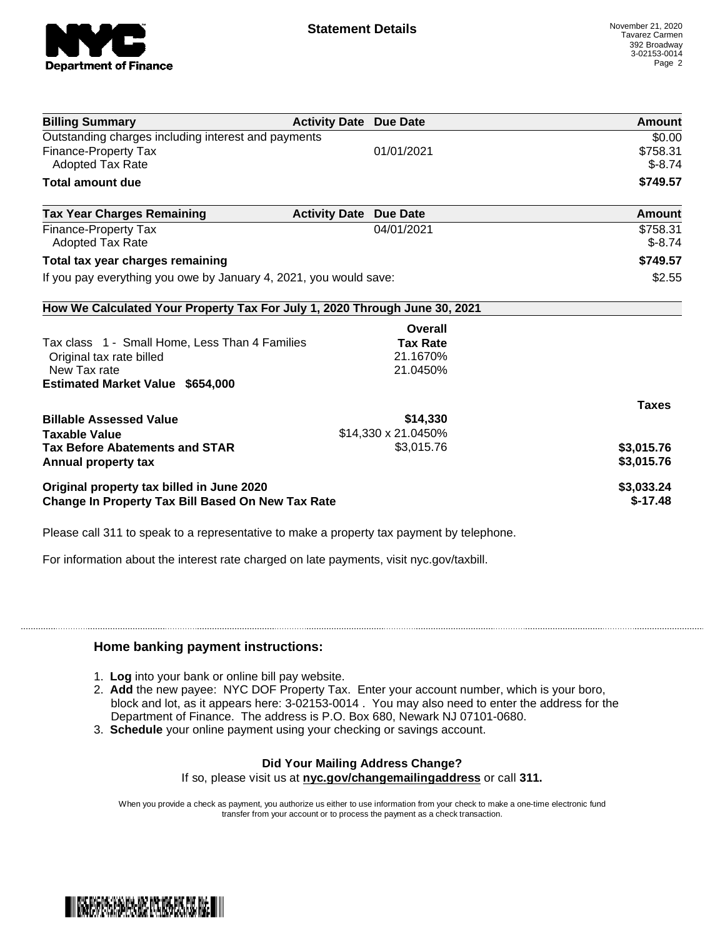

| <b>Billing Summary</b>                                                     | <b>Activity Date Due Date</b> |                     | Amount        |
|----------------------------------------------------------------------------|-------------------------------|---------------------|---------------|
| Outstanding charges including interest and payments                        |                               |                     | \$0.00        |
| Finance-Property Tax                                                       |                               | 01/01/2021          | \$758.31      |
| Adopted Tax Rate                                                           |                               |                     | $$-8.74$      |
| <b>Total amount due</b>                                                    |                               |                     | \$749.57      |
| <b>Tax Year Charges Remaining</b>                                          | <b>Activity Date</b>          | <b>Due Date</b>     | <b>Amount</b> |
| Finance-Property Tax                                                       |                               | 04/01/2021          | \$758.31      |
| Adopted Tax Rate                                                           |                               |                     | $$-8.74$      |
| Total tax year charges remaining                                           |                               |                     | \$749.57      |
| If you pay everything you owe by January 4, 2021, you would save:          |                               | \$2.55              |               |
| How We Calculated Your Property Tax For July 1, 2020 Through June 30, 2021 |                               |                     |               |
|                                                                            |                               | Overall             |               |
| Tax class 1 - Small Home, Less Than 4 Families                             |                               | <b>Tax Rate</b>     |               |
| Original tax rate billed                                                   |                               | 21.1670%            |               |
| New Tax rate                                                               |                               | 21.0450%            |               |
| <b>Estimated Market Value \$654,000</b>                                    |                               |                     |               |
|                                                                            |                               |                     | <b>Taxes</b>  |
| <b>Billable Assessed Value</b>                                             |                               | \$14,330            |               |
| <b>Taxable Value</b>                                                       |                               | \$14,330 x 21.0450% |               |
| <b>Tax Before Abatements and STAR</b>                                      |                               | \$3,015.76          | \$3,015.76    |
| Annual property tax                                                        |                               |                     | \$3,015.76    |
| Original property tax billed in June 2020                                  |                               |                     | \$3,033.24    |
| <b>Change In Property Tax Bill Based On New Tax Rate</b>                   |                               |                     | $$-17.48$     |

Please call 311 to speak to a representative to make a property tax payment by telephone.

For information about the interest rate charged on late payments, visit nyc.gov/taxbill.

## **Home banking payment instructions:**

- 1. **Log** into your bank or online bill pay website.
- 2. **Add** the new payee: NYC DOF Property Tax. Enter your account number, which is your boro, block and lot, as it appears here: 3-02153-0014 . You may also need to enter the address for the Department of Finance. The address is P.O. Box 680, Newark NJ 07101-0680.
- 3. **Schedule** your online payment using your checking or savings account.

## **Did Your Mailing Address Change?**

If so, please visit us at **nyc.gov/changemailingaddress** or call **311.**

When you provide a check as payment, you authorize us either to use information from your check to make a one-time electronic fund transfer from your account or to process the payment as a check transaction.